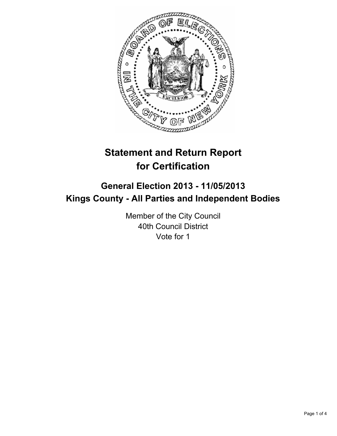

# **Statement and Return Report for Certification**

# **General Election 2013 - 11/05/2013 Kings County - All Parties and Independent Bodies**

Member of the City Council 40th Council District Vote for 1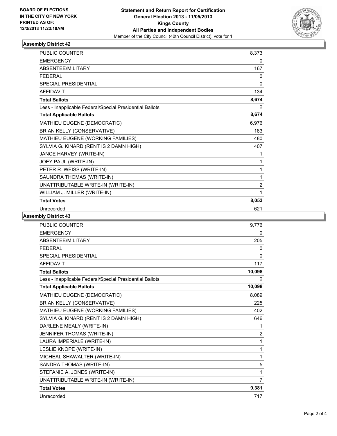

## **Assembly District 42**

| <b>PUBLIC COUNTER</b>                                    | 8,373          |
|----------------------------------------------------------|----------------|
| <b>EMERGENCY</b>                                         | 0              |
| ABSENTEE/MILITARY                                        | 167            |
| <b>FFDFRAL</b>                                           | 0              |
| <b>SPECIAL PRESIDENTIAL</b>                              | 0              |
| <b>AFFIDAVIT</b>                                         | 134            |
| <b>Total Ballots</b>                                     | 8,674          |
| Less - Inapplicable Federal/Special Presidential Ballots | 0              |
| <b>Total Applicable Ballots</b>                          | 8,674          |
| MATHIEU EUGENE (DEMOCRATIC)                              | 6,976          |
| <b>BRIAN KELLY (CONSERVATIVE)</b>                        | 183            |
| MATHIEU EUGENE (WORKING FAMILIES)                        | 480            |
| SYLVIA G. KINARD (RENT IS 2 DAMN HIGH)                   | 407            |
| JANCE HARVEY (WRITE-IN)                                  | 1              |
| JOEY PAUL (WRITE-IN)                                     | 1              |
| PETER R. WEISS (WRITE-IN)                                | 1              |
| SAUNDRA THOMAS (WRITE-IN)                                | 1              |
| UNATTRIBUTABLE WRITE-IN (WRITE-IN)                       | $\overline{2}$ |
| WILLIAM J. MILLER (WRITE-IN)                             | 1              |
| <b>Total Votes</b>                                       | 8,053          |
| Unrecorded                                               | 621            |

#### **Assembly District 43**

| <b>PUBLIC COUNTER</b>                                    | 9,776          |
|----------------------------------------------------------|----------------|
| <b>EMERGENCY</b>                                         | 0              |
| ABSENTEE/MILITARY                                        | 205            |
| <b>FEDERAL</b>                                           | 0              |
| <b>SPECIAL PRESIDENTIAL</b>                              | $\Omega$       |
| <b>AFFIDAVIT</b>                                         | 117            |
| <b>Total Ballots</b>                                     | 10,098         |
| Less - Inapplicable Federal/Special Presidential Ballots | 0              |
| <b>Total Applicable Ballots</b>                          | 10,098         |
| MATHIEU EUGENE (DEMOCRATIC)                              | 8.089          |
| <b>BRIAN KELLY (CONSERVATIVE)</b>                        | 225            |
| MATHIEU EUGENE (WORKING FAMILIES)                        | 402            |
| SYLVIA G. KINARD (RENT IS 2 DAMN HIGH)                   | 646            |
| DARLENE MEALY (WRITE-IN)                                 | 1              |
| JENNIFER THOMAS (WRITE-IN)                               | $\overline{2}$ |
| LAURA IMPERIALE (WRITE-IN)                               | 1              |
| LESLIE KNOPE (WRITE-IN)                                  | 1              |
| MICHEAL SHAWALTER (WRITE-IN)                             | 1              |
| SANDRA THOMAS (WRITE-IN)                                 | 5              |
| STEFANIE A. JONES (WRITE-IN)                             | 1              |
| UNATTRIBUTABLE WRITE-IN (WRITE-IN)                       | $\overline{7}$ |
| <b>Total Votes</b>                                       | 9,381          |
| Unrecorded                                               | 717            |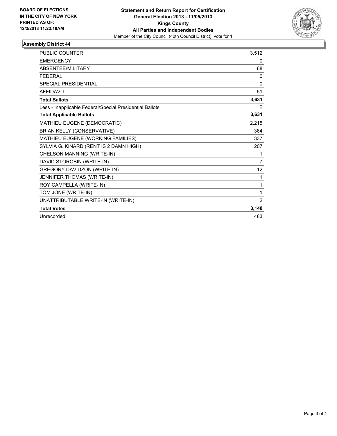

## **Assembly District 44**

| <b>PUBLIC COUNTER</b>                                    | 3,512          |
|----------------------------------------------------------|----------------|
| <b>EMERGENCY</b>                                         | 0              |
| ABSENTEE/MILITARY                                        | 68             |
| <b>FEDERAL</b>                                           | $\mathbf{0}$   |
| <b>SPECIAL PRESIDENTIAL</b>                              | $\mathbf{0}$   |
| <b>AFFIDAVIT</b>                                         | 51             |
| <b>Total Ballots</b>                                     | 3,631          |
| Less - Inapplicable Federal/Special Presidential Ballots | 0              |
| <b>Total Applicable Ballots</b>                          | 3,631          |
| MATHIEU EUGENE (DEMOCRATIC)                              | 2,215          |
| <b>BRIAN KELLY (CONSERVATIVE)</b>                        | 364            |
| MATHIEU EUGENE (WORKING FAMILIES)                        | 337            |
| SYLVIA G. KINARD (RENT IS 2 DAMN HIGH)                   | 207            |
| CHELSON MANNING (WRITE-IN)                               | 1              |
| DAVID STOROBIN (WRITE-IN)                                | 7              |
| <b>GREGORY DAVIDZON (WRITE-IN)</b>                       | 12             |
| JENNIFER THOMAS (WRITE-IN)                               | 1              |
| ROY CAMPELLA (WRITE-IN)                                  | 1              |
| TOM JONE (WRITE-IN)                                      | 1              |
| UNATTRIBUTABLE WRITE-IN (WRITE-IN)                       | $\overline{2}$ |
| <b>Total Votes</b>                                       | 3,148          |
| Unrecorded                                               | 483            |